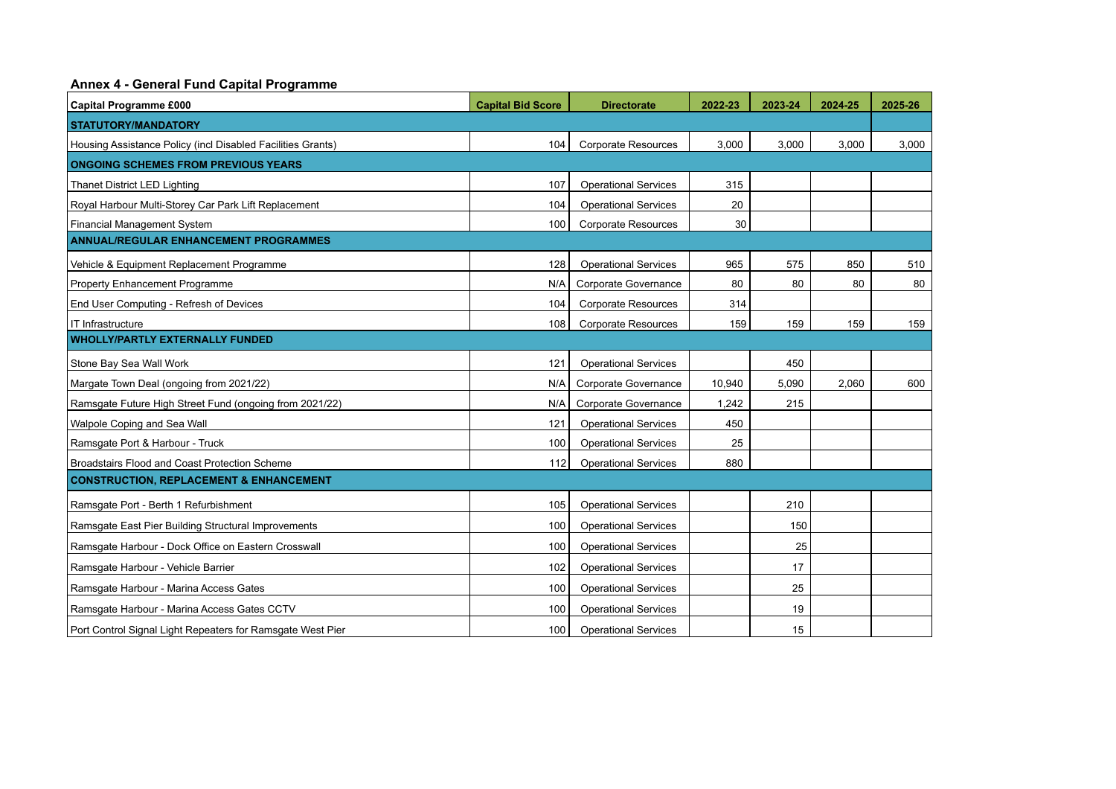## **Annex 4 - General Fund Capital Programme**

| <b>Capital Programme £000</b>                               | <b>Capital Bid Score</b> | <b>Directorate</b>          | 2022-23 | 2023-24 | 2024-25 | 2025-26 |  |  |  |  |
|-------------------------------------------------------------|--------------------------|-----------------------------|---------|---------|---------|---------|--|--|--|--|
| <b>STATUTORY/MANDATORY</b>                                  |                          |                             |         |         |         |         |  |  |  |  |
| Housing Assistance Policy (incl Disabled Facilities Grants) | 104                      | <b>Corporate Resources</b>  | 3,000   | 3,000   | 3,000   | 3,000   |  |  |  |  |
| <b>ONGOING SCHEMES FROM PREVIOUS YEARS</b>                  |                          |                             |         |         |         |         |  |  |  |  |
| Thanet District LED Lighting                                | 107                      | <b>Operational Services</b> | 315     |         |         |         |  |  |  |  |
| Royal Harbour Multi-Storey Car Park Lift Replacement        | 104                      | <b>Operational Services</b> | 20      |         |         |         |  |  |  |  |
| <b>Financial Management System</b>                          | 100                      | <b>Corporate Resources</b>  | 30      |         |         |         |  |  |  |  |
| <b>ANNUAL/REGULAR ENHANCEMENT PROGRAMMES</b>                |                          |                             |         |         |         |         |  |  |  |  |
| Vehicle & Equipment Replacement Programme                   | 128                      | <b>Operational Services</b> | 965     | 575     | 850     | 510     |  |  |  |  |
| <b>Property Enhancement Programme</b>                       | N/A                      | Corporate Governance        | 80      | 80      | 80      | 80      |  |  |  |  |
| End User Computing - Refresh of Devices                     | 104                      | <b>Corporate Resources</b>  | 314     |         |         |         |  |  |  |  |
| IT Infrastructure                                           | 108                      | <b>Corporate Resources</b>  | 159     | 159     | 159     | 159     |  |  |  |  |
| <b>WHOLLY/PARTLY EXTERNALLY FUNDED</b>                      |                          |                             |         |         |         |         |  |  |  |  |
| Stone Bay Sea Wall Work                                     | 121                      | <b>Operational Services</b> |         | 450     |         |         |  |  |  |  |
| Margate Town Deal (ongoing from 2021/22)                    | N/A                      | Corporate Governance        | 10,940  | 5,090   | 2,060   | 600     |  |  |  |  |
| Ramsgate Future High Street Fund (ongoing from 2021/22)     | N/A                      | Corporate Governance        | 1,242   | 215     |         |         |  |  |  |  |
| Walpole Coping and Sea Wall                                 | 121                      | <b>Operational Services</b> | 450     |         |         |         |  |  |  |  |
| Ramsgate Port & Harbour - Truck                             | 100                      | <b>Operational Services</b> | 25      |         |         |         |  |  |  |  |
| Broadstairs Flood and Coast Protection Scheme               | 112                      | <b>Operational Services</b> | 880     |         |         |         |  |  |  |  |
| <b>CONSTRUCTION, REPLACEMENT &amp; ENHANCEMENT</b>          |                          |                             |         |         |         |         |  |  |  |  |
| Ramsgate Port - Berth 1 Refurbishment                       | 105                      | <b>Operational Services</b> |         | 210     |         |         |  |  |  |  |
| Ramsgate East Pier Building Structural Improvements         | 100                      | <b>Operational Services</b> |         | 150     |         |         |  |  |  |  |
| Ramsgate Harbour - Dock Office on Eastern Crosswall         | 100                      | <b>Operational Services</b> |         | 25      |         |         |  |  |  |  |
| Ramsgate Harbour - Vehicle Barrier                          | 102                      | <b>Operational Services</b> |         | 17      |         |         |  |  |  |  |
| Ramsgate Harbour - Marina Access Gates                      | 100                      | <b>Operational Services</b> |         | 25      |         |         |  |  |  |  |
| Ramsgate Harbour - Marina Access Gates CCTV                 | 100                      | <b>Operational Services</b> |         | 19      |         |         |  |  |  |  |
| Port Control Signal Light Repeaters for Ramsgate West Pier  | 100                      | <b>Operational Services</b> |         | 15      |         |         |  |  |  |  |